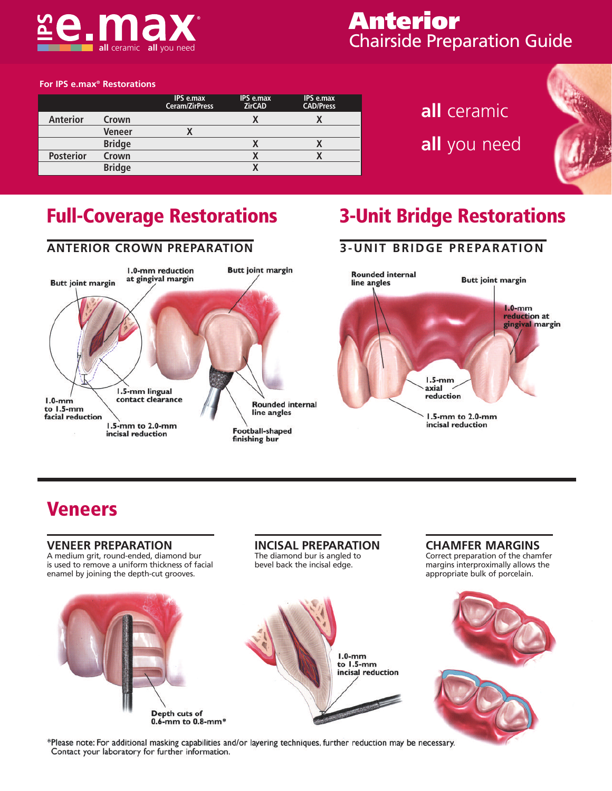

### **Anterior** Chairside Preparation Guide

#### **For IPS e.max® Restorations**

|                  |               | IPS e.max<br><b>Ceram/ZirPress</b> | IPS e.max<br><b>ZirCAD</b> | IPS e.max<br><b>CAD/Press</b> |
|------------------|---------------|------------------------------------|----------------------------|-------------------------------|
| <b>Anterior</b>  | Crown         |                                    | V                          |                               |
|                  | Veneer        |                                    |                            |                               |
|                  | <b>Bridge</b> |                                    |                            |                               |
| <b>Posterior</b> | Crown         |                                    |                            |                               |
|                  | <b>Bridge</b> |                                    |                            |                               |

# **all** ceramic **all** you need



### **Full-Coverage Restorations 3-Unit Bridge Restorations**



### **3-UNIT BRIDGE PREPARATION**



### **Veneers**

#### **VENEER PREPARATION INCISAL PREPARATION CHAMFER MARGINS** A medium grit, round-ended, diamond bur The diamond bur is angled to Correct preparation of the chamfer is used to remove a uniform thickness of facial bevel back the incisal edge. margins interproximally allows the enamel by joining the depth-cut grooves. appropriate bulk of porcelain.  $1.0$ -mm to  $1.5$ -mm incisal reduction Depth cuts of

\*Please note: For additional masking capabilities and/or layering techniques, further reduction may be necessary. Contact your laboratory for further information.

0.6-mm to 0.8-mm\*